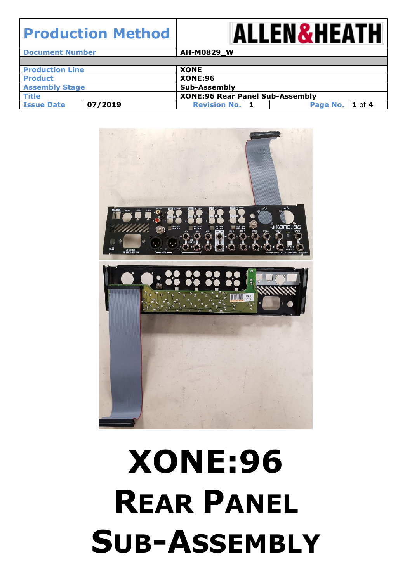

| <b>Document Number</b> |         | AH-M0829_W                             |                   |  |  |
|------------------------|---------|----------------------------------------|-------------------|--|--|
|                        |         |                                        |                   |  |  |
| <b>Production Line</b> |         | <b>XONE</b>                            |                   |  |  |
| <b>Product</b>         |         | <b>XONE:96</b>                         |                   |  |  |
| <b>Assembly Stage</b>  |         | Sub-Assembly                           |                   |  |  |
| <b>Title</b>           |         | <b>XONE:96 Rear Panel Sub-Assembly</b> |                   |  |  |
| <b>Issue Date</b>      | 07/2019 | <b>Revision No.   1</b>                | Page No.   1 of 4 |  |  |



# **XONE:96 REAR PANEL SUB-ASSEMBLY**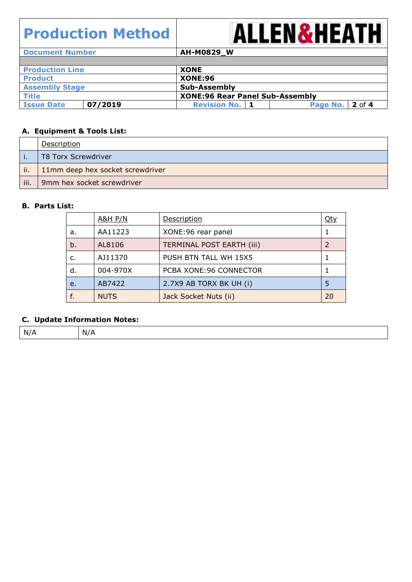

**Document Number AH-M0829\_W Production Line XONE Product XONE:96 Assembly Stage Sub-Assembly Title XONE:96** Rear Panel Sub-Assembly<br> **Example 1** Issue Date **1** 07/2019 **Revision No. 1** Pa **Issue Date 07/2019 Revision No. 1 Page No. 2** of **4**

#### **A. Equipment & Tools List:**

|      | Description                      |
|------|----------------------------------|
|      | T8 Torx Screwdriver              |
| ii.  | 11mm deep hex socket screwdriver |
| iii. | 9mm hex socket screwdriver       |

#### **B. Parts List:**

|    | <b>A&amp;H P/N</b> | Description                      | <u>Qty</u>    |
|----|--------------------|----------------------------------|---------------|
| a. | AA11223            | XONE: 96 rear panel              |               |
| b. | AL8106             | <b>TERMINAL POST EARTH (iii)</b> | $\mathcal{L}$ |
| c. | AJ11370            | PUSH BTN TALL WH 15X5            |               |
| d. | 004-970X           | PCBA XONE: 96 CONNECTOR          |               |
| e. | AB7422             | 2.7X9 AB TORX BK UH (i)          | 5             |
| f. | <b>NUTS</b>        | Jack Socket Nuts (ii)            | 20            |

#### **C. Update Information Notes:**

| N<br>n. |
|---------|
|---------|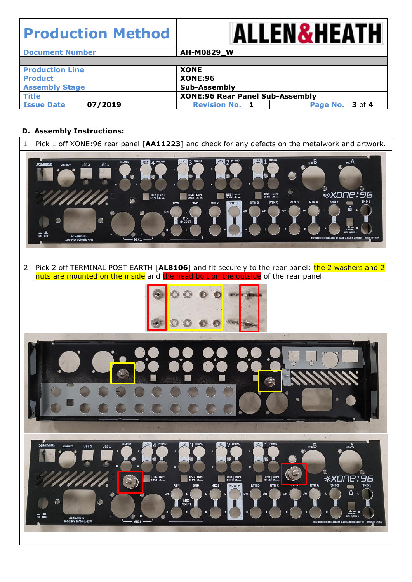

| <b>Document Number</b> |         | AH-M0829_W                             |                 |  |
|------------------------|---------|----------------------------------------|-----------------|--|
|                        |         |                                        |                 |  |
| <b>Production Line</b> |         | <b>XONE</b>                            |                 |  |
| <b>Product</b>         |         | <b>XONE:96</b>                         |                 |  |
| <b>Assembly Stage</b>  |         | Sub-Assembly                           |                 |  |
| <b>Title</b>           |         | <b>XONE:96 Rear Panel Sub-Assembly</b> |                 |  |
| <b>Issue Date</b>      | 07/2019 | <b>Revision No.   1</b>                | Page No. 3 of 4 |  |

#### **D. Assembly Instructions:**

| 1              | Pick 1 off XONE:96 rear panel [AA11223] and check for any defects on the metalwork and artwork.                                                                                                                                                                                                                                                                                                                                                                                                                                                                                                                                                                                                                                                                                                                                                                                                                                                                                                           |
|----------------|-----------------------------------------------------------------------------------------------------------------------------------------------------------------------------------------------------------------------------------------------------------------------------------------------------------------------------------------------------------------------------------------------------------------------------------------------------------------------------------------------------------------------------------------------------------------------------------------------------------------------------------------------------------------------------------------------------------------------------------------------------------------------------------------------------------------------------------------------------------------------------------------------------------------------------------------------------------------------------------------------------------|
|                | $_{\rm MIC}$ $\rm B$<br>MICA<br>RECORD<br>PHONO<br><b>X:LINKG</b><br>USB <sub>2</sub><br>USB <sub>1</sub><br>MIDI OUT<br>C<br>*XOI<br>96<br>USB   LN:PH<br>CH <sub>1/2</sub>   M.<br>P<br>USB   LN:PH<br>CH3/4   EL<br>USB $\vert$ LN:PH<br>CH 7/8<br>USB   LN:PH<br>CH 5/6   EL _<br><b>SND1</b><br><b>RTNB</b><br><b>RTNA</b><br><b>SND 2</b><br><b>RTN C</b><br><b>BOOTH</b><br><b>RTND</b><br>SND<br>MIX <sub>2</sub><br><b>RTN</b><br>俭<br>${\sf L}/{\sf M}$<br>L/M<br>MIX<br>INSERT<br>$\bullet$<br><b>TN A/SND</b><br>해야<br><b>AC MAINS IN</b><br>ENGINEERED IN ENGLAND BY ALLEN & HEATH LIMITED<br><b>MADE IN CHINA</b><br>MIX <sub>1</sub><br>100-240V 50/60Hz 45W                                                                                                                                                                                                                                                                                                                               |
| $\overline{2}$ | Pick 2 off TERMINAL POST EARTH [AL8106] and fit securely to the rear panel; the 2 washers and 2<br>nuts are mounted on the inside and the head bolt on the outside of the rear panel.                                                                                                                                                                                                                                                                                                                                                                                                                                                                                                                                                                                                                                                                                                                                                                                                                     |
|                | G                                                                                                                                                                                                                                                                                                                                                                                                                                                                                                                                                                                                                                                                                                                                                                                                                                                                                                                                                                                                         |
|                | RECORD<br>3 PHONO<br>PHONO<br>LINE<br>LINE<br>LINE<br>LINE<br>$\mathcal{D}$<br>PHONO<br>PHONC<br>$\overline{A}$<br>MSE<br><b>X:LINKG</b><br>$MIC$ A<br>USB <sub>2</sub><br>USB <sub>1</sub><br>O)<br>R<br>O)<br>USB $\left \begin{array}{c} \text{LIEPH} \\ \text{CH 7/8} \end{array}\right $<br>USB $\left \begin{array}{c} \text{USPH} \\ \text{CH1/2} \end{array}\right $ . Hence<br><b>*XONE: 96</b><br>$\begin{array}{c c c} \textbf{USE} & \textbf{LNEPH} \\ \textbf{CH5/6} & \textbf{HL} & \textbf{m} \end{array}$<br>USB   LN:PH<br>CH 3/4   JL<br><b>RTNA</b><br>SND <sub>2</sub><br><b>RTN</b><br>SND<br>MIX <sub>2</sub><br><b>RTND</b><br><b>RTN C</b><br><b>SND1</b><br><b>BOOTH</b><br><b>DOM:N</b><br>6 ↓<br>$L/M$<br>L/M<br>L/M<br>L/M<br>L/M<br>τ<br>п<br>MIX<br>INSERT<br>$\bullet$<br>C<br>Line/Hiz R<br>RTN A/SND 1<br>R<br>R<br>$\frac{a}{\alpha}$<br>R<br>AC MAINS IN ~<br>100-240V 50/60Hz 45W<br>MIX <sub>1</sub><br>ENGINEERED IN ENGLAND BY ALLEN & HEATH LIMITED MADE IN CHINA |